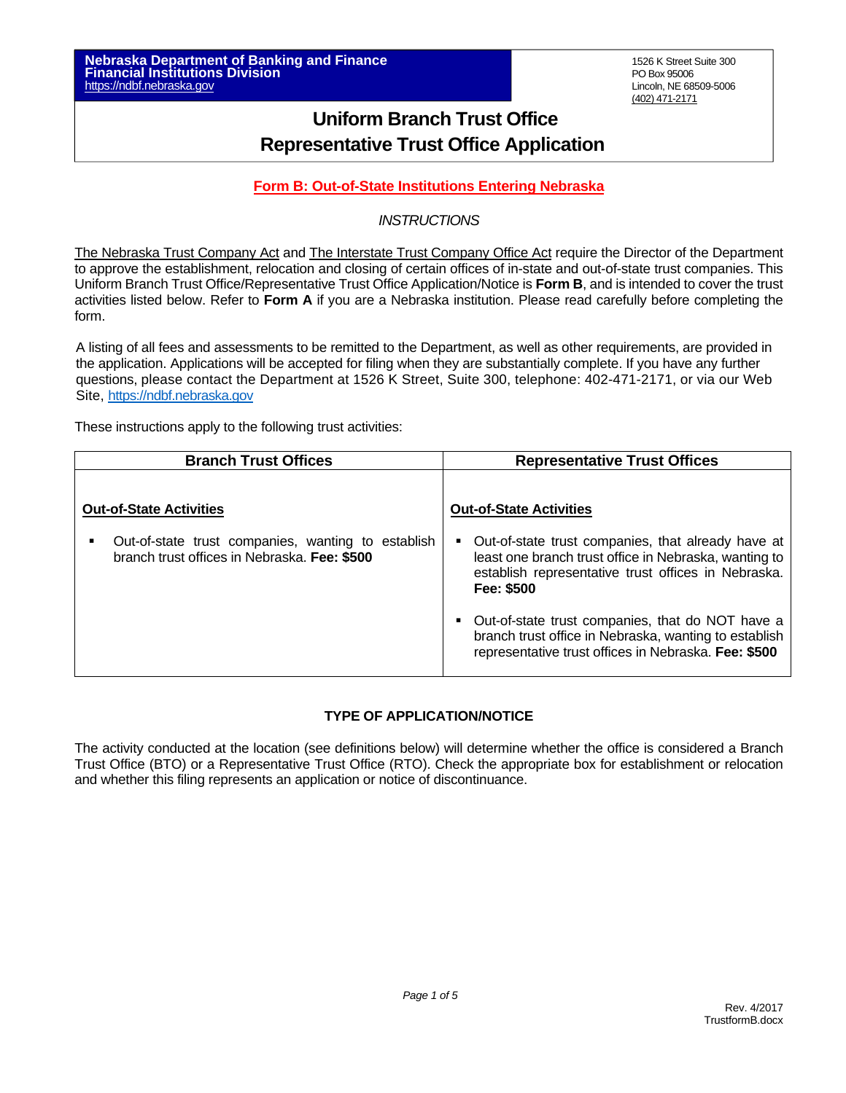# **Uniform Branch Trust Office Representative Trust Office Application**

## **Form B: Out-of-State Institutions Entering Nebraska**

## *INSTRUCTIONS*

The Nebraska Trust Company Act and The Interstate Trust Company Office Act require the Director of the Department to approve the establishment, relocation and closing of certain offices of in-state and out-of-state trust companies. This Uniform Branch Trust Office/Representative Trust Office Application/Notice is **Form B**, and is intended to cover the trust activities listed below. Refer to **Form A** if you are a Nebraska institution. Please read carefully before completing the form.

A listing of all fees and assessments to be remitted to the Department, as well as other requirements, are provided in the application. Applications will be accepted for filing when they are substantially complete. If you have any further questions, please contact the Department at 1526 K Street, Suite 300, telephone: 402-471-2171, or via our Web Site, https://ndbf.nebraska.gov

These instructions apply to the following trust activities:

| <b>Branch Trust Offices</b>                                                                                                          | <b>Representative Trust Offices</b>                                                                                                                                                                                                    |
|--------------------------------------------------------------------------------------------------------------------------------------|----------------------------------------------------------------------------------------------------------------------------------------------------------------------------------------------------------------------------------------|
| <b>Out-of-State Activities</b><br>Out-of-state trust companies, wanting to establish<br>branch trust offices in Nebraska. Fee: \$500 | <b>Out-of-State Activities</b><br>Out-of-state trust companies, that already have at<br>least one branch trust office in Nebraska, wanting to                                                                                          |
|                                                                                                                                      | establish representative trust offices in Nebraska.<br>Fee: \$500<br>Out-of-state trust companies, that do NOT have a<br>branch trust office in Nebraska, wanting to establish<br>representative trust offices in Nebraska. Fee: \$500 |

#### **TYPE OF APPLICATION/NOTICE**

The activity conducted at the location (see definitions below) will determine whether the office is considered a Branch Trust Office (BTO) or a Representative Trust Office (RTO). Check the appropriate box for establishment or relocation and whether this filing represents an application or notice of discontinuance.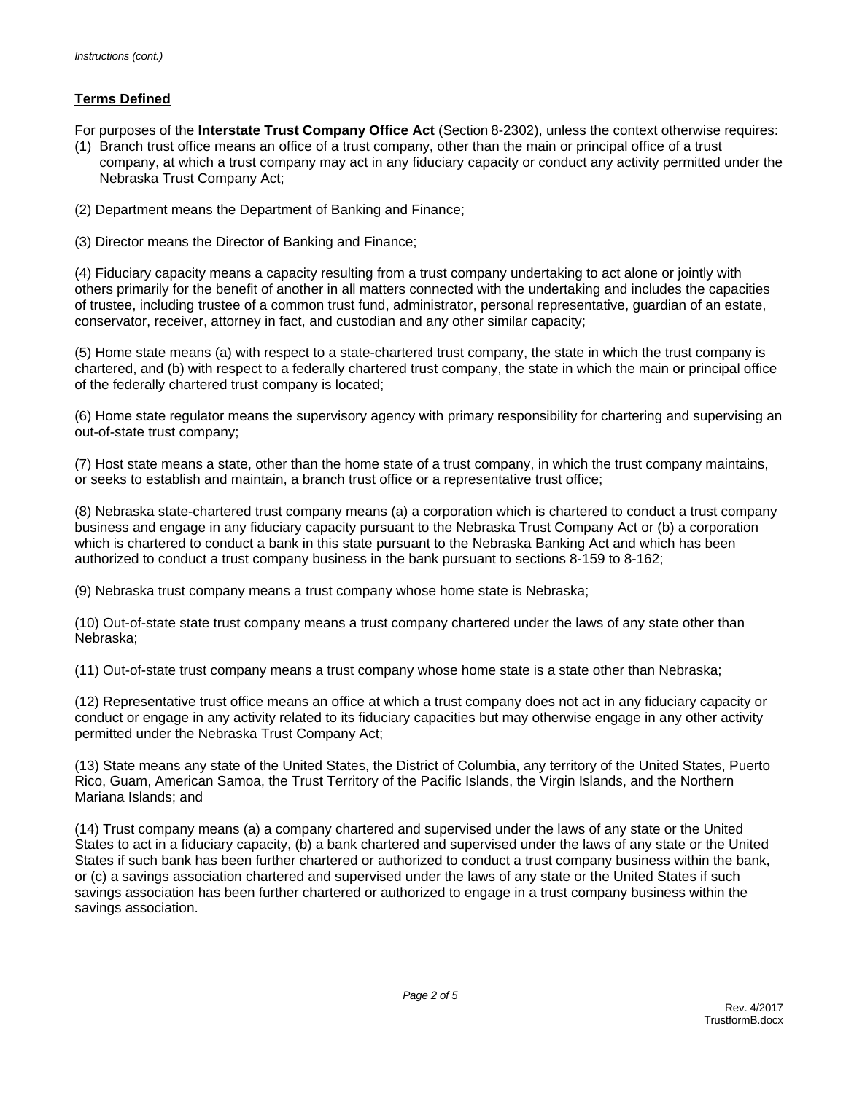### **Terms Defined**

For purposes of the **Interstate Trust Company Office Act** (Section 8-2302), unless the context otherwise requires:

- (1) Branch trust office means an office of a trust company, other than the main or principal office of a trust company, at which a trust company may act in any fiduciary capacity or conduct any activity permitted under the Nebraska Trust Company Act;
- (2) Department means the Department of Banking and Finance;
- (3) Director means the Director of Banking and Finance;

(4) Fiduciary capacity means a capacity resulting from a trust company undertaking to act alone or jointly with others primarily for the benefit of another in all matters connected with the undertaking and includes the capacities of trustee, including trustee of a common trust fund, administrator, personal representative, guardian of an estate, conservator, receiver, attorney in fact, and custodian and any other similar capacity;

(5) Home state means (a) with respect to a state-chartered trust company, the state in which the trust company is chartered, and (b) with respect to a federally chartered trust company, the state in which the main or principal office of the federally chartered trust company is located;

(6) Home state regulator means the supervisory agency with primary responsibility for chartering and supervising an out-of-state trust company;

(7) Host state means a state, other than the home state of a trust company, in which the trust company maintains, or seeks to establish and maintain, a branch trust office or a representative trust office;

(8) Nebraska state-chartered trust company means (a) a corporation which is chartered to conduct a trust company business and engage in any fiduciary capacity pursuant to the Nebraska Trust Company Act or (b) a corporation which is chartered to conduct a bank in this state pursuant to the Nebraska Banking Act and which has been authorized to conduct a trust company business in the bank pursuant to sections 8-159 to 8-162;

(9) Nebraska trust company means a trust company whose home state is Nebraska;

(10) Out-of-state state trust company means a trust company chartered under the laws of any state other than Nebraska;

(11) Out-of-state trust company means a trust company whose home state is a state other than Nebraska;

(12) Representative trust office means an office at which a trust company does not act in any fiduciary capacity or conduct or engage in any activity related to its fiduciary capacities but may otherwise engage in any other activity permitted under the Nebraska Trust Company Act;

(13) State means any state of the United States, the District of Columbia, any territory of the United States, Puerto Rico, Guam, American Samoa, the Trust Territory of the Pacific Islands, the Virgin Islands, and the Northern Mariana Islands; and

(14) Trust company means (a) a company chartered and supervised under the laws of any state or the United States to act in a fiduciary capacity, (b) a bank chartered and supervised under the laws of any state or the United States if such bank has been further chartered or authorized to conduct a trust company business within the bank, or (c) a savings association chartered and supervised under the laws of any state or the United States if such savings association has been further chartered or authorized to engage in a trust company business within the savings association.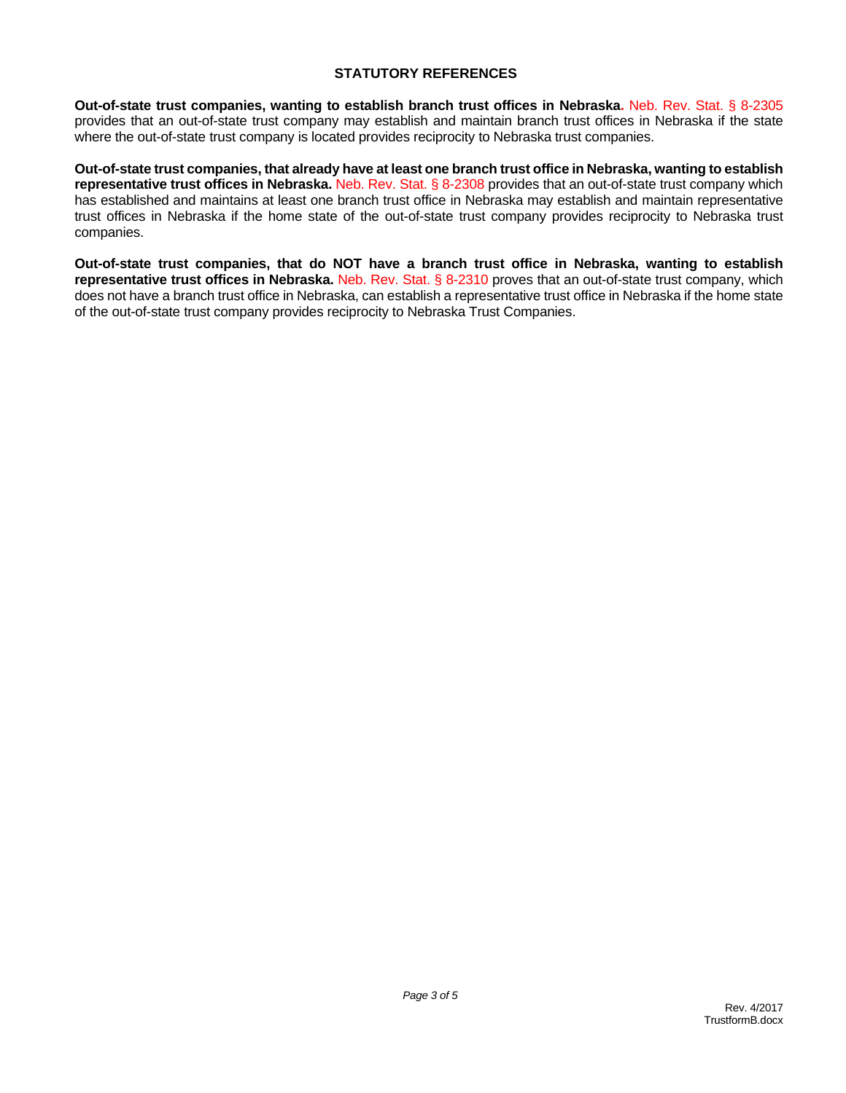#### **STATUTORY REFERENCES**

**Out-of-state trust companies, wanting to establish branch trust offices in Nebraska.** Neb. Rev. Stat. § 8-2305 provides that an out-of-state trust company may establish and maintain branch trust offices in Nebraska if the state where the out-of-state trust company is located provides reciprocity to Nebraska trust companies.

**Out-of-state trust companies, that already have at least one branch trust office in Nebraska, wanting to establish representative trust offices in Nebraska.** Neb. Rev. Stat. § 8-2308 provides that an out-of-state trust company which has established and maintains at least one branch trust office in Nebraska may establish and maintain representative trust offices in Nebraska if the home state of the out-of-state trust company provides reciprocity to Nebraska trust companies.

**Out-of-state trust companies, that do NOT have a branch trust office in Nebraska, wanting to establish representative trust offices in Nebraska.** Neb. Rev. Stat. § 8-2310 proves that an out-of-state trust company, which does not have a branch trust office in Nebraska, can establish a representative trust office in Nebraska if the home state of the out-of-state trust company provides reciprocity to Nebraska Trust Companies.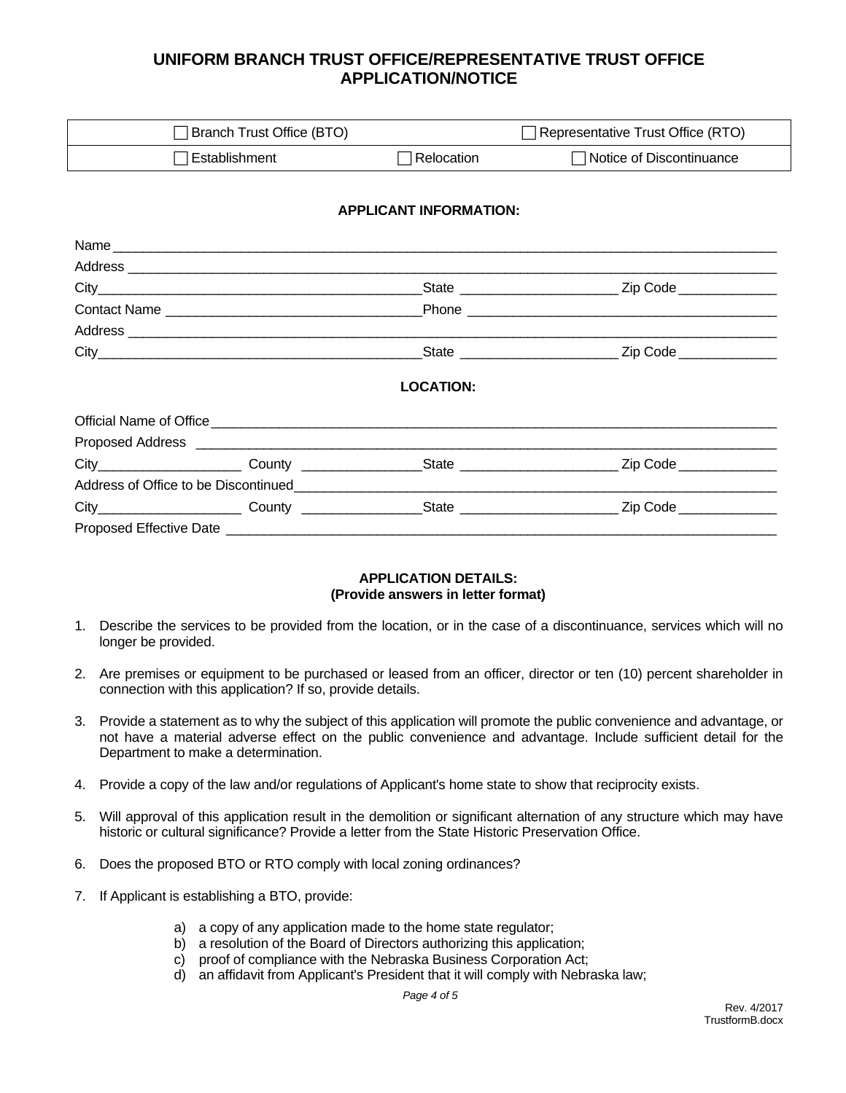# **UNIFORM BRANCH TRUST OFFICE/REPRESENTATIVE TRUST OFFICE APPLICATION/NOTICE**

| Branch Trust Office (BTO) |            | □ Representative Trust Office (RTO) |
|---------------------------|------------|-------------------------------------|
| Establishment             | Relocation | Notice of Discontinuance            |

#### **APPLICANT INFORMATION:**

| Name                                                                                                                                                                                                                           |                                |                         |
|--------------------------------------------------------------------------------------------------------------------------------------------------------------------------------------------------------------------------------|--------------------------------|-------------------------|
|                                                                                                                                                                                                                                |                                |                         |
|                                                                                                                                                                                                                                |                                |                         |
|                                                                                                                                                                                                                                |                                |                         |
| Address experience and the set of the set of the set of the set of the set of the set of the set of the set of the set of the set of the set of the set of the set of the set of the set of the set of the set of the set of t |                                |                         |
|                                                                                                                                                                                                                                |                                |                         |
|                                                                                                                                                                                                                                | <b>LOCATION:</b>               |                         |
|                                                                                                                                                                                                                                |                                |                         |
|                                                                                                                                                                                                                                |                                |                         |
|                                                                                                                                                                                                                                | City County County State State | Zip Code ______________ |
|                                                                                                                                                                                                                                |                                |                         |
|                                                                                                                                                                                                                                |                                | Zip Code _____________  |
|                                                                                                                                                                                                                                |                                |                         |

#### **APPLICATION DETAILS: (Provide answers in letter format)**

- 1. Describe the services to be provided from the location, or in the case of a discontinuance, services which will no longer be provided.
- 2. Are premises or equipment to be purchased or leased from an officer, director or ten (10) percent shareholder in connection with this application? If so, provide details.
- 3. Provide a statement as to why the subject of this application will promote the public convenience and advantage, or not have a material adverse effect on the public convenience and advantage. Include sufficient detail for the Department to make a determination.
- 4. Provide a copy of the law and/or regulations of Applicant's home state to show that reciprocity exists.
- 5. Will approval of this application result in the demolition or significant alternation of any structure which may have historic or cultural significance? Provide a letter from the State Historic Preservation Office.
- 6. Does the proposed BTO or RTO comply with local zoning ordinances?
- 7. If Applicant is establishing a BTO, provide:
	- a) a copy of any application made to the home state regulator;
	- b) a resolution of the Board of Directors authorizing this application;
	- c) proof of compliance with the Nebraska Business Corporation Act;
	- d) an affidavit from Applicant's President that it will comply with Nebraska law;